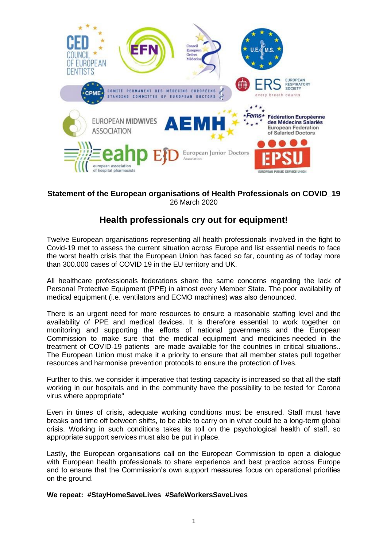

## **Statement of the European organisations of Health Professionals on COVID\_19** 26 March 2020

# **Health professionals cry out for equipment!**

Twelve European organisations representing all health professionals involved in the fight to Covid-19 met to assess the current situation across Europe and list essential needs to face the worst health crisis that the European Union has faced so far, counting as of today more than 300.000 cases of COVID 19 in the EU territory and UK.

All healthcare professionals federations share the same concerns regarding the lack of Personal Protective Equipment (PPE) in almost every Member State. The poor availability of medical equipment (i.e. ventilators and ECMO machines) was also denounced.

There is an urgent need for more resources to ensure a reasonable staffing level and the availability of PPE and medical devices. It is therefore essential to work together on monitoring and supporting the efforts of national governments and the European Commission to make sure that the medical equipment and medicines needed in the treatment of COVID-19 patients are made available for the countries in critical situations.. The European Union must make it a priority to ensure that all member states pull together resources and harmonise prevention protocols to ensure the protection of lives.

Further to this, we consider it imperative that testing capacity is increased so that all the staff working in our hospitals and in the community have the possibility to be tested for Corona virus where appropriate"

Even in times of crisis, adequate working conditions must be ensured. Staff must have breaks and time off between shifts, to be able to carry on in what could be a long-term global crisis. Working in such conditions takes its toll on the psychological health of staff, so appropriate support services must also be put in place.

Lastly, the European organisations call on the European Commission to open a dialogue with European health professionals to share experience and best practice across Europe and to ensure that the Commission's own support measures focus on operational priorities on the ground.

#### **We repeat: #StayHomeSaveLives #SafeWorkersSaveLives**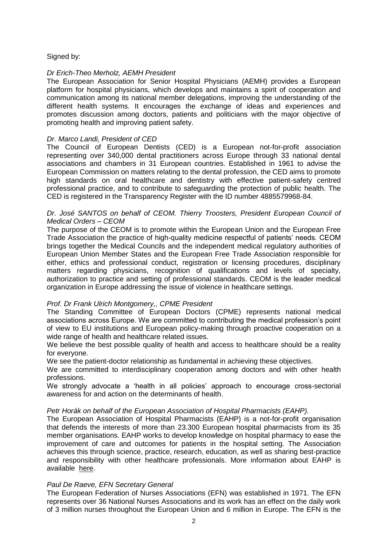## Signed by:

## *Dr Erich-Theo Merholz, AEMH President*

The European Association for Senior Hospital Physicians (AEMH) provides a European platform for hospital physicians, which develops and maintains a spirit of cooperation and communication among its national member delegations, improving the understanding of the different health systems. It encourages the exchange of ideas and experiences and promotes discussion among doctors, patients and politicians with the major objective of promoting health and improving patient safety.

## *Dr. Marco Landi, President of CED*

The Council of European Dentists (CED) is a European not-for-profit association representing over 340,000 dental practitioners across Europe through 33 national dental associations and chambers in 31 European countries. Established in 1961 to advise the European Commission on matters relating to the dental profession, the CED aims to promote high standards on oral healthcare and dentistry with effective patient-safety centred professional practice, and to contribute to safeguarding the protection of public health. The CED is registered in the Transparency Register with the ID number 4885579968-84.

### *Dr. José SANTOS on behalf of CEOM. Thierry Troosters, President European Council of Medical Orders – CEOM*

The purpose of the CEOM is to promote within the European Union and the European Free Trade Association the practice of high-quality medicine respectful of patients' needs. CEOM brings together the Medical Councils and the independent medical regulatory authorities of European Union Member States and the European Free Trade Association responsible for either, ethics and professional conduct, registration or licensing procedures, disciplinary matters regarding physicians, recognition of qualifications and levels of specialty, authorization to practice and setting of professional standards. CEOM is the leader medical organization in Europe addressing the issue of violence in healthcare settings.

## *Prof. Dr Frank Ulrich Montgomery,, CPME President*

The Standing Committee of European Doctors (CPME) represents national medical associations across Europe. We are committed to contributing the medical profession's point of view to EU institutions and European policy-making through proactive cooperation on a wide range of health and healthcare related issues.

We believe the best possible quality of health and access to healthcare should be a reality for everyone.

We see the patient-doctor relationship as fundamental in achieving these objectives.

We are committed to interdisciplinary cooperation among doctors and with other health professions.

We strongly advocate a 'health in all policies' approach to encourage cross-sectorial awareness for and action on the determinants of health.

#### *Petr Horák on behalf of the European Association of Hospital Pharmacists (EAHP).*

The European Association of Hospital Pharmacists (EAHP) is a not-for-profit organisation that defends the interests of more than 23.300 European hospital pharmacists from its 35 member organisations. EAHP works to develop knowledge on hospital pharmacy to ease the improvement of care and outcomes for patients in the hospital setting. The Association achieves this through science, practice, research, education, as well as sharing best-practice and responsibility with other healthcare professionals. More information about EAHP is available [here.](http://www.eahp.eu/about-us/who-we-are)

#### *Paul De Raeve, EFN Secretary General*

The European Federation of Nurses Associations (EFN) was established in 1971. The EFN represents over 36 National Nurses Associations and its work has an effect on the daily work of 3 million nurses throughout the European Union and 6 million in Europe. The EFN is the